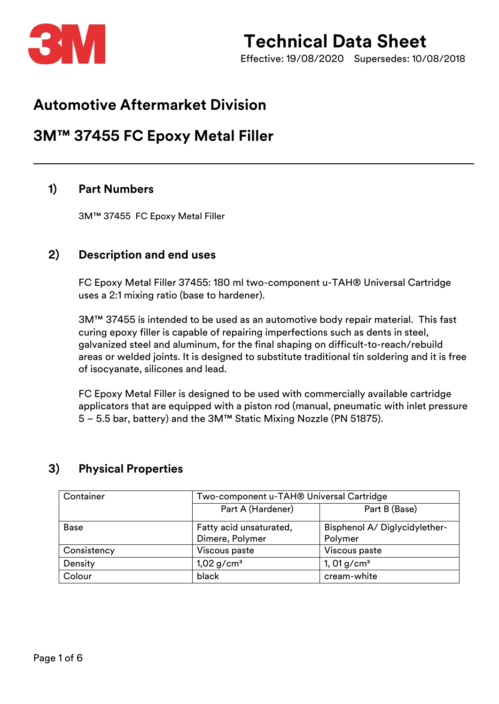

Effective: 19/08/2020 Supersedes: 10/08/2018

## **Automotive Aftermarket Division**

## **3M™ 37455 FC Epoxy Metal Filler**

### **1) Part Numbers**

3M™ 37455 FC Epoxy Metal Filler

### **2) Description and end uses**

FC Epoxy Metal Filler 37455: 180 ml two-component u-TAH® Universal Cartridge uses a 2:1 mixing ratio (base to hardener).

3M™ 37455 is intended to be used as an automotive body repair material. This fast curing epoxy filler is capable of repairing imperfections such as dents in steel, galvanized steel and aluminum, for the final shaping on difficult-to-reach/rebuild areas or welded joints. It is designed to substitute traditional tin soldering and it is free of isocyanate, silicones and lead.

FC Epoxy Metal Filler is designed to be used with commercially available cartridge applicators that are equipped with a piston rod (manual, pneumatic with inlet pressure 5 – 5.5 bar, battery) and the 3M™ Static Mixing Nozzle (PN 51875).

| Container   | Two-component u-TAH® Universal Cartridge |                               |  |
|-------------|------------------------------------------|-------------------------------|--|
|             | Part A (Hardener)                        | Part B (Base)                 |  |
| <b>Base</b> | Fatty acid unsaturated,                  | Bisphenol A/ Diglycidylether- |  |
|             | Dimere, Polymer                          | Polymer                       |  |
| Consistency | Viscous paste                            | Viscous paste                 |  |
| Density     | $1,02$ g/cm <sup>3</sup>                 | 1, 01 $g/cm^{3}$              |  |
| Colour      | black                                    | cream-white                   |  |

## **3) Physical Properties**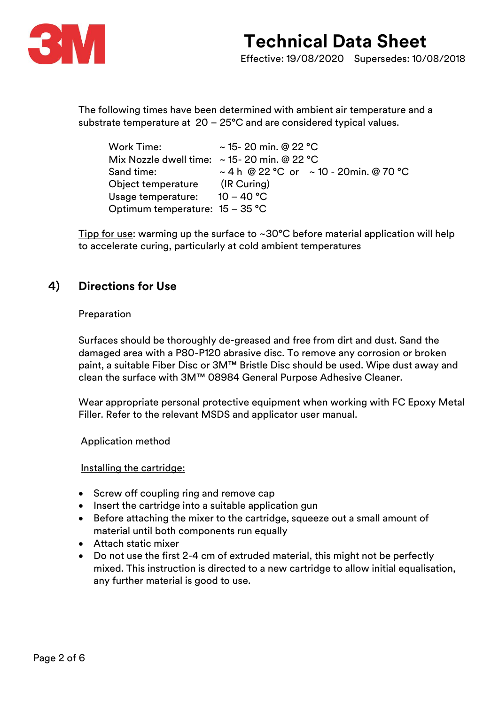

The following times have been determined with ambient air temperature and a substrate temperature at 20 – 25°C and are considered typical values.

| Work Time:                                       | $\sim$ 15- 20 min. @ 22 °C                       |  |
|--------------------------------------------------|--------------------------------------------------|--|
| Mix Nozzle dwell time: $\sim$ 15-20 min. @ 22 °C |                                                  |  |
| Sand time:                                       | $\sim$ 4 h @ 22 °C or $\sim$ 10 - 20min. @ 70 °C |  |
| Object temperature                               | $(IR$ Curing)                                    |  |
| Usage temperature:                               | $10 - 40 °C$                                     |  |
| Optimum temperature: $15 - 35$ °C                |                                                  |  |

Tipp for use: warming up the surface to ~30°C before material application will help to accelerate curing, particularly at cold ambient temperatures

### **4) Directions for Use**

#### Preparation

Surfaces should be thoroughly de-greased and free from dirt and dust. Sand the damaged area with a P80-P120 abrasive disc. To remove any corrosion or broken paint, a suitable Fiber Disc or 3M™ Bristle Disc should be used. Wipe dust away and clean the surface with 3M™ 08984 General Purpose Adhesive Cleaner.

Wear appropriate personal protective equipment when working with FC Epoxy Metal Filler. Refer to the relevant MSDS and applicator user manual.

Application method

Installing the cartridge:

- Screw off coupling ring and remove cap
- Insert the cartridge into a suitable application gun
- Before attaching the mixer to the cartridge, squeeze out a small amount of material until both components run equally
- Attach static mixer
- Do not use the first 2-4 cm of extruded material, this might not be perfectly mixed. This instruction is directed to a new cartridge to allow initial equalisation, any further material is good to use.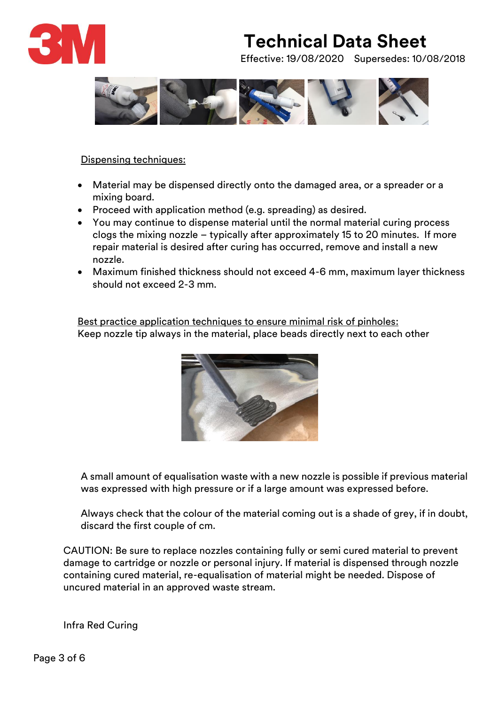

Effective: 19/08/2020 Supersedes: 10/08/2018



#### Dispensing techniques:

- Material may be dispensed directly onto the damaged area, or a spreader or a mixing board.
- Proceed with application method (e.g. spreading) as desired.
- You may continue to dispense material until the normal material curing process clogs the mixing nozzle – typically after approximately 15 to 20 minutes. If more repair material is desired after curing has occurred, remove and install a new nozzle.
- Maximum finished thickness should not exceed 4-6 mm, maximum layer thickness should not exceed 2-3 mm.

Best practice application techniques to ensure minimal risk of pinholes: Keep nozzle tip always in the material, place beads directly next to each other



A small amount of equalisation waste with a new nozzle is possible if previous material was expressed with high pressure or if a large amount was expressed before.

Always check that the colour of the material coming out is a shade of grey, if in doubt, discard the first couple of cm.

CAUTION: Be sure to replace nozzles containing fully or semi cured material to prevent damage to cartridge or nozzle or personal injury. If material is dispensed through nozzle containing cured material, re-equalisation of material might be needed. Dispose of uncured material in an approved waste stream.

Infra Red Curing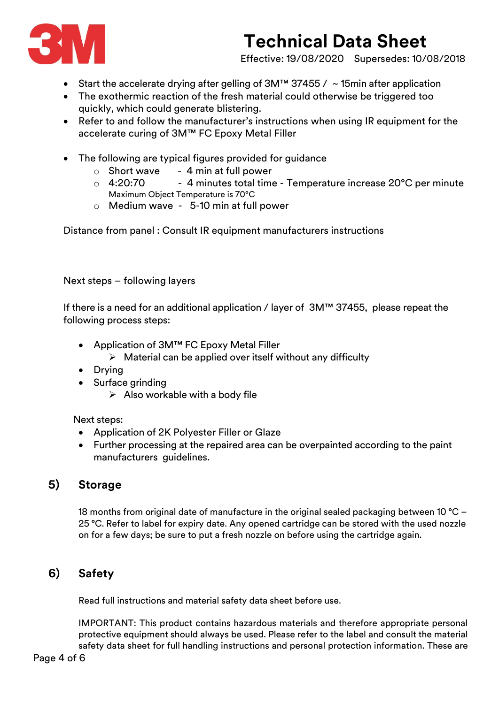

Effective: 19/08/2020 Supersedes: 10/08/2018

- Start the accelerate drying after gelling of 3M™ 37455 / ~ 15min after application
- The exothermic reaction of the fresh material could otherwise be triggered too quickly, which could generate blistering.
- Refer to and follow the manufacturer's instructions when using IR equipment for the accelerate curing of 3M™ FC Epoxy Metal Filler
- The following are typical figures provided for guidance
	- $\circ$  Short wave  $-4$  min at full power
	- $\circ$  4:20:70 4 minutes total time Temperature increase 20 $\degree$ C per minute Maximum Object Temperature is 70°C
	- o Medium wave 5-10 min at full power

Distance from panel : Consult IR equipment manufacturers instructions

Next steps – following layers

If there is a need for an additional application / layer of 3M™ 37455, please repeat the following process steps:

- Application of 3M™ FC Epoxy Metal Filler
	- $\triangleright$  Material can be applied over itself without any difficulty
- Drying
- Surface grinding
	- $\triangleright$  Also workable with a body file

Next steps:

- Application of 2K Polyester Filler or Glaze
- Further processing at the repaired area can be overpainted according to the paint manufacturers guidelines.

### **5) Storage**

18 months from original date of manufacture in the original sealed packaging between 10 °C – 25 °C. Refer to label for expiry date. Any opened cartridge can be stored with the used nozzle on for a few days; be sure to put a fresh nozzle on before using the cartridge again.

## **6) Safety**

Read full instructions and material safety data sheet before use.

IMPORTANT: This product contains hazardous materials and therefore appropriate personal protective equipment should always be used. Please refer to the label and consult the material safety data sheet for full handling instructions and personal protection information. These are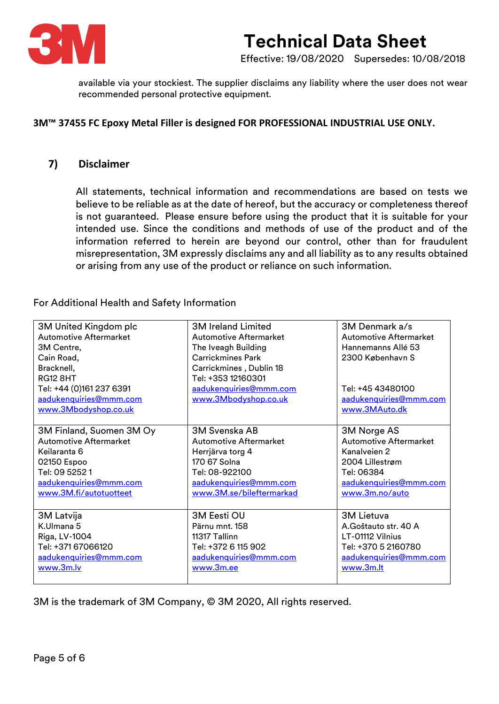

Effective: 19/08/2020 Supersedes: 10/08/2018

available via your stockiest. The supplier disclaims any liability where the user does not wear recommended personal protective equipment.

#### **3M™ 37455 FC Epoxy Metal Filler is designed FOR PROFESSIONAL INDUSTRIAL USE ONLY.**

#### **7) Disclaimer**

All statements, technical information and recommendations are based on tests we believe to be reliable as at the date of hereof, but the accuracy or completeness thereof is not guaranteed. Please ensure before using the product that it is suitable for your intended use. Since the conditions and methods of use of the product and of the information referred to herein are beyond our control, other than for fraudulent misrepresentation, 3M expressly disclaims any and all liability as to any results obtained or arising from any use of the product or reliance on such information.

For Additional Health and Safety Information

| 3M United Kingdom plc         | <b>3M Ireland Limited</b>     | 3M Denmark a/s                |
|-------------------------------|-------------------------------|-------------------------------|
| <b>Automotive Aftermarket</b> | <b>Automotive Aftermarket</b> | <b>Automotive Aftermarket</b> |
| 3M Centre,                    | The Iveagh Building           | Hannemanns Allé 53            |
| Cain Road,                    | <b>Carrickmines Park</b>      | 2300 København S              |
| Bracknell,                    | Carrickmines, Dublin 18       |                               |
| <b>RG12 8HT</b>               | Tel: +353 12160301            |                               |
| Tel: +44 (0)161 237 6391      | aadukenquiries@mmm.com        | Tel: +45 43480100             |
| aadukenquiries@mmm.com        | www.3Mbodyshop.co.uk          | aadukenquiries@mmm.com        |
| www.3Mbodyshop.co.uk          |                               | www.3MAuto.dk                 |
|                               |                               |                               |
| 3M Finland, Suomen 3M Oy      | <b>3M Svenska AB</b>          | 3M Norge AS                   |
| Automotive Aftermarket        | <b>Automotive Aftermarket</b> | <b>Automotive Aftermarket</b> |
| Keilaranta 6                  | Herrjärva torg 4              | Kanalveien 2                  |
| 02150 Espoo                   | 170 67 Solna                  | 2004 Lillestrøm               |
| Tel: 09 5252 1                | Tel: 08-922100                | Tel: 06384                    |
| aadukenquiries@mmm.com        | aadukenquiries@mmm.com        | aadukenquiries@mmm.com        |
| www.3M.fi/autotuotteet        | www.3M.se/bileftermarkad      | www.3m.no/auto                |
|                               |                               |                               |
| 3M Latvija                    | 3M Eesti OU                   | <b>3M Lietuva</b>             |
| K.Ulmana 5                    | Pärnu mnt. 158                | A. Goštauto str. 40 A         |
| Riga, LV-1004                 | 11317 Tallinn                 | LT-01112 Vilnius              |
| Tel: +371 67066120            | Tel: +372 6 115 902           | Tel: +370 5 2160780           |
| aadukenquiries@mmm.com        | aadukenquiries@mmm.com        | aadukenquiries@mmm.com        |
| www.3m.lv                     | www.3m.ee                     | www.3m.lt                     |
|                               |                               |                               |

3M is the trademark of 3M Company, © 3M 2020, All rights reserved.